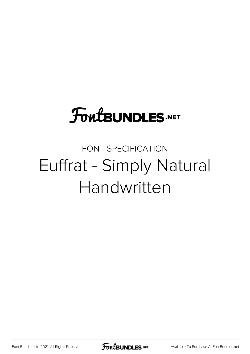## **FoutBUNDLES.NET**

### FONT SPECIFICATION Euffrat - Simply Natural Handwritten

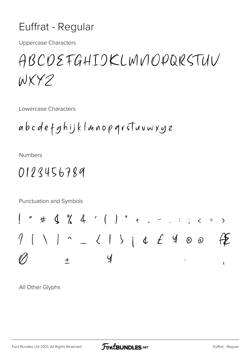#### Euffrat - Regular

**Uppercase Characters** 

## ABCDEFGHIOKLWNOPQRSTUV WXY2

Lowercase Characters

**Numbers** 

#### 0123456789

Punctuation and Symbols

All Other Glyphs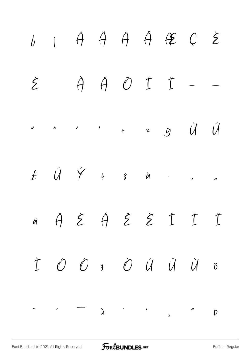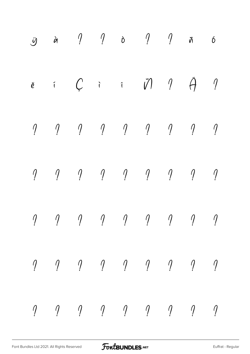